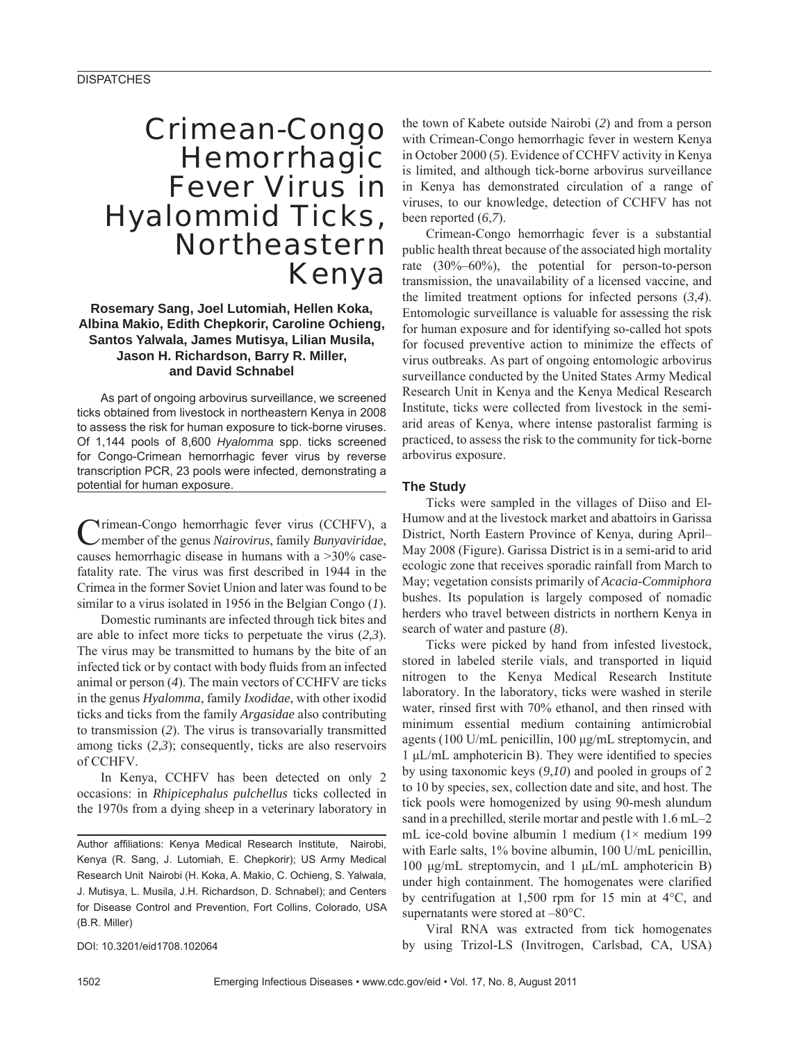# Crimean-Congo Hemorrhagic **Fever Virus in** Hyalommid Ticks, Northeastern Kenya

**Rosemary Sang, Joel Lutomiah, Hellen Koka, Albina Makio, Edith Chepkorir, Caroline Ochieng, Santos Yalwala, James Mutisya, Lilian Musila, Jason H. Richardson, Barry R. Miller, and David Schnabel** 

As part of ongoing arbovirus surveillance, we screened ticks obtained from livestock in northeastern Kenya in 2008 to assess the risk for human exposure to tick-borne viruses. Of 1,144 pools of 8,600 *Hyalomma* spp. ticks screened for Congo-Crimean hemorrhagic fever virus by reverse transcription PCR, 23 pools were infected, demonstrating a potential for human exposure.

Crimean-Congo hemorrhagic fever virus (CCHFV), a member of the genus *Nairovirus*, family *Bunyaviridae*, causes hemorrhagic disease in humans with a >30% casefatality rate. The virus was first described in 1944 in the Crimea in the former Soviet Union and later was found to be similar to a virus isolated in 1956 in the Belgian Congo (*1*).

Domestic ruminants are infected through tick bites and are able to infect more ticks to perpetuate the virus (*2*,*3*). The virus may be transmitted to humans by the bite of an infected tick or by contact with body fluids from an infected animal or person (*4*). The main vectors of CCHFV are ticks in the genus *Hyalomma*, family *Ixodidae*, with other ixodid ticks and ticks from the family *Argasidae* also contributing to transmission (*2*). The virus is transovarially transmitted among ticks (*2*,*3*); consequently, ticks are also reservoirs of CCHFV.

In Kenya, CCHFV has been detected on only 2 occasions: in *Rhipicephalus pulchellus* ticks collected in the 1970s from a dying sheep in a veterinary laboratory in

DOI: 10.3201/eid1708.102064

the town of Kabete outside Nairobi (*2*) and from a person with Crimean-Congo hemorrhagic fever in western Kenya in October 2000 (*5*). Evidence of CCHFV activity in Kenya is limited, and although tick-borne arbovirus surveillance in Kenya has demonstrated circulation of a range of viruses, to our knowledge, detection of CCHFV has not been reported (*6*,*7*).

Crimean-Congo hemorrhagic fever is a substantial public health threat because of the associated high mortality rate (30%–60%), the potential for person-to-person transmission, the unavailability of a licensed vaccine, and the limited treatment options for infected persons (*3*,*4*). Entomologic surveillance is valuable for assessing the risk for human exposure and for identifying so-called hot spots for focused preventive action to minimize the effects of virus outbreaks. As part of ongoing entomologic arbovirus surveillance conducted by the United States Army Medical Research Unit in Kenya and the Kenya Medical Research Institute, ticks were collected from livestock in the semiarid areas of Kenya, where intense pastoralist farming is practiced, to assess the risk to the community for tick-borne arbovirus exposure.

## **The Study**

Ticks were sampled in the villages of Diiso and El-Humow and at the livestock market and abattoirs in Garissa District, North Eastern Province of Kenya, during April– May 2008 (Figure). Garissa District is in a semi-arid to arid ecologic zone that receives sporadic rainfall from March to May; vegetation consists primarily of *Acacia-Commiphora* bushes. Its population is largely composed of nomadic herders who travel between districts in northern Kenya in search of water and pasture (*8*).

Ticks were picked by hand from infested livestock, stored in labeled sterile vials, and transported in liquid nitrogen to the Kenya Medical Research Institute laboratory. In the laboratory, ticks were washed in sterile water, rinsed first with 70% ethanol, and then rinsed with minimum essential medium containing antimicrobial agents (100 U/mL penicillin, 100 μg/mL streptomycin, and  $1 \mu L/mL$  amphotericin B). They were identified to species by using taxonomic keys (*9*,*10*) and pooled in groups of 2 to 10 by species, sex, collection date and site, and host. The tick pools were homogenized by using 90-mesh alundum sand in a prechilled, sterile mortar and pestle with 1.6 mL–2 mL ice-cold bovine albumin 1 medium  $(1 \times \text{medium } 199)$ with Earle salts, 1% bovine albumin, 100 U/mL penicillin, 100 μg/mL streptomycin, and 1 μL/mL amphotericin B) under high containment. The homogenates were clarified by centrifugation at 1,500 rpm for 15 min at 4°C, and supernatants were stored at –80°C.

Viral RNA was extracted from tick homogenates by using Trizol-LS (Invitrogen, Carlsbad, CA, USA)

Author affiliations: Kenya Medical Research Institute, Nairobi, Kenya (R. Sang, J. Lutomiah, E. Chepkorir); US Army Medical Research Unit Nairobi (H. Koka, A. Makio, C. Ochieng, S. Yalwala, J. Mutisya, L. Musila, J.H. Richardson, D. Schnabel); and Centers for Disease Control and Prevention, Fort Collins, Colorado, USA (B.R. Miller)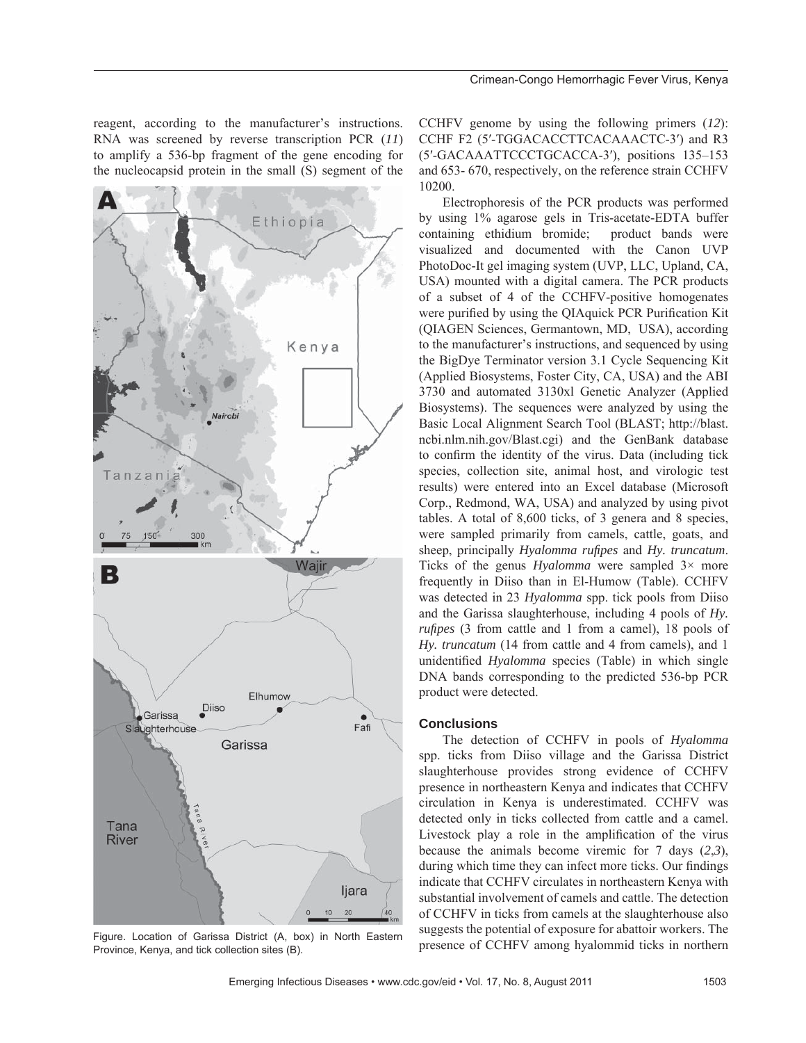reagent, according to the manufacturer's instructions. RNA was screened by reverse transcription PCR (*11*) to amplify a 536-bp fragment of the gene encoding for the nucleocapsid protein in the small (S) segment of the



Figure. Location of Garissa District (A, box) in North Eastern Province, Kenya, and tick collection sites (B).

CCHFV genome by using the following primers (*12*): CCHF F2 (5′-TGGACACCTTCACAAACTC-3′) and R3 (5′-GACAAATTCCCTGCACCA-3′), positions 135–153 and 653- 670, respectively, on the reference strain CCHFV 10200.

Electrophoresis of the PCR products was performed by using 1% agarose gels in Tris-acetate-EDTA buffer containing ethidium bromide; product bands were visualized and documented with the Canon UVP PhotoDoc-It gel imaging system (UVP, LLC, Upland, CA, USA) mounted with a digital camera. The PCR products of a subset of 4 of the CCHFV-positive homogenates were purified by using the OIAquick PCR Purification Kit (QIAGEN Sciences, Germantown, MD, USA), according to the manufacturer's instructions, and sequenced by using the BigDye Terminator version 3.1 Cycle Sequencing Kit (Applied Biosystems, Foster City, CA, USA) and the ABI 3730 and automated 3130xl Genetic Analyzer (Applied Biosystems). The sequences were analyzed by using the Basic Local Alignment Search Tool (BLAST; http://blast. ncbi.nlm.nih.gov/Blast.cgi) and the GenBank database to confirm the identity of the virus. Data (including tick species, collection site, animal host, and virologic test results) were entered into an Excel database (Microsoft Corp., Redmond, WA, USA) and analyzed by using pivot tables. A total of 8,600 ticks, of 3 genera and 8 species, were sampled primarily from camels, cattle, goats, and sheep, principally *Hyalomma rufipes* and *Hy. truncatum*. Ticks of the genus *Hyalomma* were sampled 3× more frequently in Diiso than in El-Humow (Table). CCHFV was detected in 23 *Hyalomma* spp. tick pools from Diiso and the Garissa slaughterhouse, including 4 pools of *Hy. rufipes* (3 from cattle and 1 from a camel), 18 pools of *Hy. truncatum* (14 from cattle and 4 from camels), and 1 unidentified *Hyalomma* species (Table) in which single DNA bands corresponding to the predicted 536-bp PCR product were detected.

# **Conclusions**

The detection of CCHFV in pools of *Hyalomma* spp. ticks from Diiso village and the Garissa District slaughterhouse provides strong evidence of CCHFV presence in northeastern Kenya and indicates that CCHFV circulation in Kenya is underestimated. CCHFV was detected only in ticks collected from cattle and a camel. Livestock play a role in the amplification of the virus because the animals become viremic for 7 days (*2*,*3*), during which time they can infect more ticks. Our findings indicate that CCHFV circulates in northeastern Kenya with substantial involvement of camels and cattle. The detection of CCHFV in ticks from camels at the slaughterhouse also suggests the potential of exposure for abattoir workers. The presence of CCHFV among hyalommid ticks in northern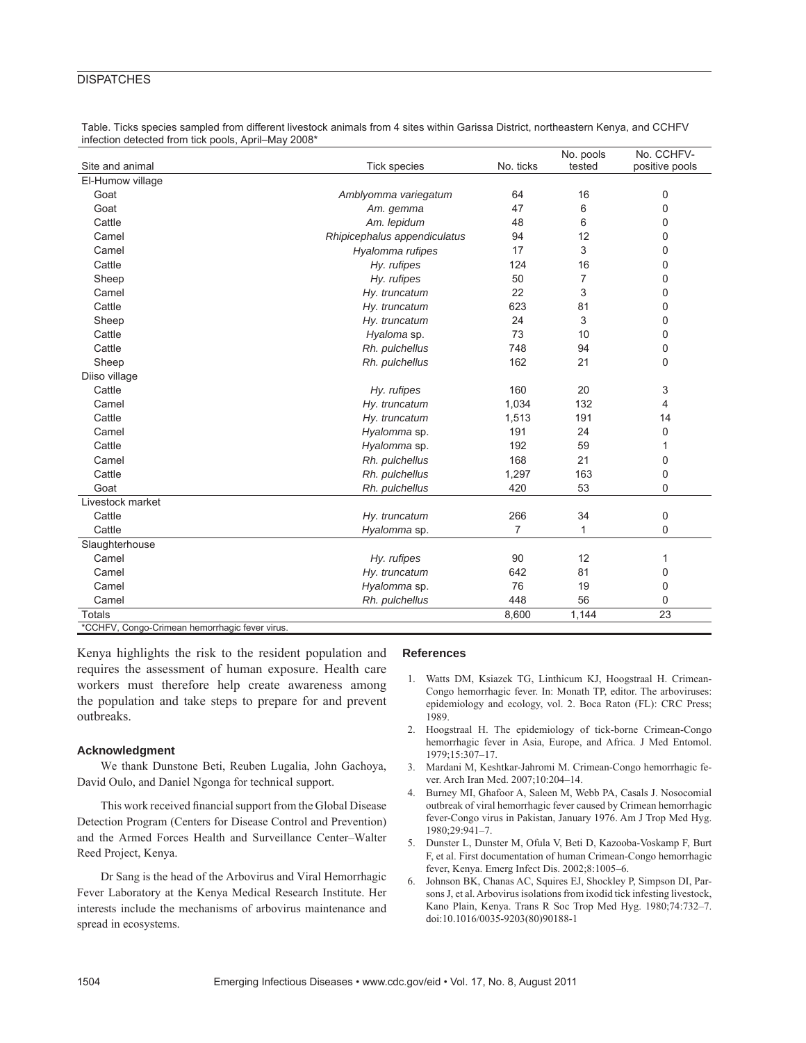# **DISPATCHES**

|  | Table. Ticks species sampled from different livestock animals from 4 sites within Garissa District, northeastern Kenya, and CCHFV |  |  |  |  |
|--|-----------------------------------------------------------------------------------------------------------------------------------|--|--|--|--|
|  | infection detected from tick pools, April–May 2008*                                                                               |  |  |  |  |

|                                           |                              |                | No. pools      | No. CCHFV-     |
|-------------------------------------------|------------------------------|----------------|----------------|----------------|
| Site and animal                           | <b>Tick species</b>          | No. ticks      | tested         | positive pools |
| El-Humow village                          |                              |                |                |                |
| Goat                                      | Amblyomma variegatum         | 64             | 16             | 0              |
| Goat                                      | Am. gemma                    | 47             | 6              | 0              |
| Cattle                                    | Am. lepidum                  | 48             | 6              | 0              |
| Camel                                     | Rhipicephalus appendiculatus | 94             | 12             | 0              |
| Camel                                     | Hyalomma rufipes             | 17             | 3              | 0              |
| Cattle                                    | Hy. rufipes                  | 124            | 16             | 0              |
| Sheep                                     | Hy. rufipes                  | 50             | $\overline{7}$ | 0              |
| Camel                                     | Hy. truncatum                | 22             | 3              | 0              |
| Cattle                                    | Hy. truncatum                | 623            | 81             | 0              |
| Sheep                                     | Hy. truncatum                | 24             | 3              | 0              |
| Cattle                                    | Hyaloma sp.                  | 73             | 10             | 0              |
| Cattle                                    | Rh. pulchellus               | 748            | 94             | 0              |
| Sheep                                     | Rh. pulchellus               | 162            | 21             | 0              |
| Diiso village                             |                              |                |                |                |
| Cattle                                    | Hy. rufipes                  | 160            | 20             | 3              |
| Camel                                     | Hy. truncatum                | 1,034          | 132            | 4              |
| Cattle                                    | Hy. truncatum                | 1,513          | 191            | 14             |
| Camel                                     | Hyalomma sp.                 | 191            | 24             | 0              |
| Cattle                                    | Hyalomma sp.                 | 192            | 59             | 1              |
| Camel                                     | Rh. pulchellus               | 168            | 21             | 0              |
| Cattle                                    | Rh. pulchellus               | 1,297          | 163            | 0              |
| Goat                                      | Rh. pulchellus               | 420            | 53             | 0              |
| Livestock market                          |                              |                |                |                |
| Cattle                                    | Hy. truncatum                | 266            | 34             | 0              |
| Cattle                                    | Hyalomma sp.                 | $\overline{7}$ | $\mathbf{1}$   | 0              |
| Slaughterhouse                            |                              |                |                |                |
| Camel                                     | Hy. rufipes                  | 90             | 12             | 1              |
| Camel                                     | Hy. truncatum                | 642            | 81             | 0              |
| Camel                                     | Hyalomma sp.                 | 76             | 19             | 0              |
| Camel                                     | Rh. pulchellus               | 448            | 56             | 0              |
| <b>Totals</b>                             |                              | 8,600          | 1,144          | 23             |
| $*$ COLIEV Canan<br>marshaaig fouar virus |                              |                |                |                |

\*CCHFV, Congo-Crimean hemorrhagic fever virus.

Kenya highlights the risk to the resident population and requires the assessment of human exposure. Health care workers must therefore help create awareness among the population and take steps to prepare for and prevent outbreaks.

### **Acknowledgment**

We thank Dunstone Beti, Reuben Lugalia, John Gachoya, David Oulo, and Daniel Ngonga for technical support.

This work received financial support from the Global Disease Detection Program (Centers for Disease Control and Prevention) and the Armed Forces Health and Surveillance Center–Walter Reed Project, Kenya.

Dr Sang is the head of the Arbovirus and Viral Hemorrhagic Fever Laboratory at the Kenya Medical Research Institute. Her interests include the mechanisms of arbovirus maintenance and spread in ecosystems.

#### **References**

- 1. Watts DM, Ksiazek TG, Linthicum KJ, Hoogstraal H. Crimean-Congo hemorrhagic fever. In: Monath TP, editor. The arboviruses: epidemiology and ecology, vol. 2. Boca Raton (FL): CRC Press; 1989.
- 2. Hoogstraal H. The epidemiology of tick-borne Crimean-Congo hemorrhagic fever in Asia, Europe, and Africa. J Med Entomol. 1979;15:307–17.
- 3. Mardani M, Keshtkar-Jahromi M. Crimean-Congo hemorrhagic fever. Arch Iran Med. 2007;10:204–14.
- 4. Burney MI, Ghafoor A, Saleen M, Webb PA, Casals J. Nosocomial outbreak of viral hemorrhagic fever caused by Crimean hemorrhagic fever-Congo virus in Pakistan, January 1976. Am J Trop Med Hyg. 1980;29:941–7.
- 5. Dunster L, Dunster M, Ofula V, Beti D, Kazooba-Voskamp F, Burt F, et al. First documentation of human Crimean-Congo hemorrhagic fever, Kenya. Emerg Infect Dis. 2002;8:1005–6.
- 6. Johnson BK, Chanas AC, Squires EJ, Shockley P, Simpson DI, Parsons J, et al. Arbovirus isolations from ixodid tick infesting livestock, Kano Plain, Kenya. Trans R Soc Trop Med Hyg. 1980;74:732–7. doi:10.1016/0035-9203(80)90188-1